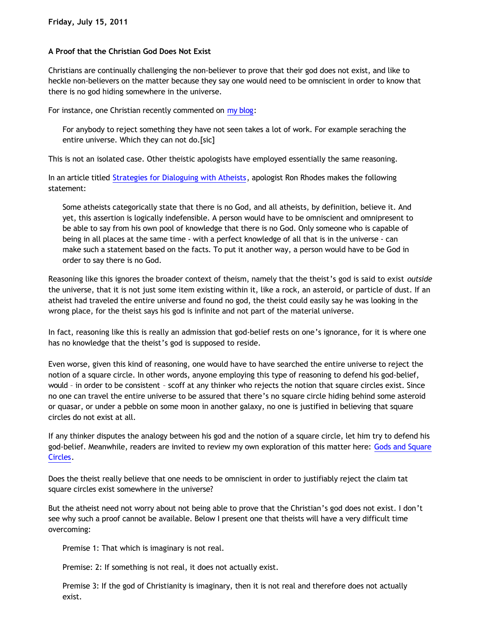## **A Proof that the Christian God Does Not Exist**

Christians are continually challenging the non-believer to prove that their god does not exist, and like to heckle non-believers on the matter because they say one would need to be omniscient in order to know that there is no god hiding somewhere in the universe.

For instance, one Christian recently commented on [my blog](http://bahnsenburner.blogspot.com/2011/06/considering-tonys-offerings.html):

For anybody to reject something they have not seen takes a lot of work. For example seraching the entire universe. Which they can not do.[sic]

This is not an isolated case. Other theistic apologists have employed essentially the same reasoning.

In an article titled [Strategies for Dialoguing with Atheists,](http://home.earthlink.net/~ronrhodes/Atheism.html) apologist Ron Rhodes makes the following statement:

Some atheists categorically state that there is no God, and all atheists, by definition, believe it. And yet, this assertion is logically indefensible. A person would have to be omniscient and omnipresent to be able to say from his own pool of knowledge that there is no God. Only someone who is capable of being in all places at the same time - with a perfect knowledge of all that is in the universe - can make such a statement based on the facts. To put it another way, a person would have to be God in order to say there is no God.

Reasoning like this ignores the broader context of theism, namely that the theist's god is said to exist *outside* the universe, that it is not just some item existing within it, like a rock, an asteroid, or particle of dust. If an atheist had traveled the entire universe and found no god, the theist could easily say he was looking in the wrong place, for the theist says his god is infinite and not part of the material universe.

In fact, reasoning like this is really an admission that god-belief rests on one's ignorance, for it is where one has no knowledge that the theist's god is supposed to reside.

Even worse, given this kind of reasoning, one would have to have searched the entire universe to reject the notion of a square circle. In other words, anyone employing this type of reasoning to defend his god-belief, would – in order to be consistent – scoff at any thinker who rejects the notion that square circles exist. Since no one can travel the entire universe to be assured that there's no square circle hiding behind some asteroid or quasar, or under a pebble on some moon in another galaxy, no one is justified in believing that square circles do not exist at all.

If any thinker disputes the analogy between his god and the notion of a square circle, let him try to defend his god-belief. Meanwhile, readers are invited to review my own exploration of this matter here: [Gods and Square](http://katholon.com/squarecircles.htm) [Circles.](http://katholon.com/squarecircles.htm)

Does the theist really believe that one needs to be omniscient in order to justifiably reject the claim tat square circles exist somewhere in the universe?

But the atheist need not worry about not being able to prove that the Christian's god does not exist. I don't see why such a proof cannot be available. Below I present one that theists will have a very difficult time overcoming:

Premise 1: That which is imaginary is not real.

Premise: 2: If something is not real, it does not actually exist.

Premise 3: If the god of Christianity is imaginary, then it is not real and therefore does not actually exist.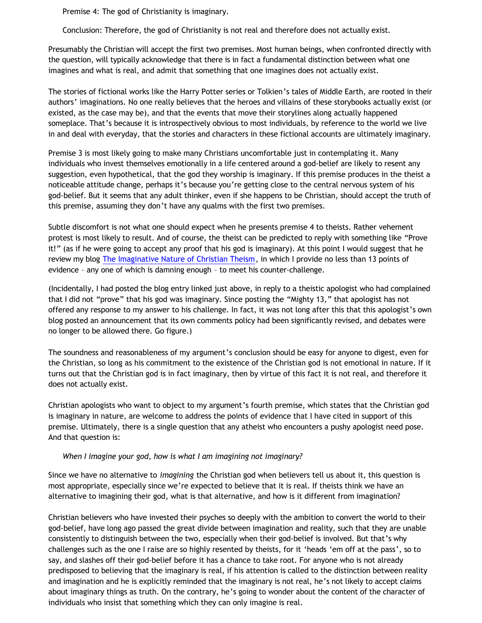Premise 4: The god of Christianity is imaginary.

Conclusion: Therefore, the god of Christianity is not real and therefore does not actually exist.

Presumably the Christian will accept the first two premises. Most human beings, when confronted directly with the question, will typically acknowledge that there is in fact a fundamental distinction between what one imagines and what is real, and admit that something that one imagines does not actually exist.

The stories of fictional works like the Harry Potter series or Tolkien's tales of Middle Earth, are rooted in their authors' imaginations. No one really believes that the heroes and villains of these storybooks actually exist (or existed, as the case may be), and that the events that move their storylines along actually happened someplace. That's because it is introspectively obvious to most individuals, by reference to the world we live in and deal with everyday, that the stories and characters in these fictional accounts are ultimately imaginary.

Premise 3 is most likely going to make many Christians uncomfortable just in contemplating it. Many individuals who invest themselves emotionally in a life centered around a god-belief are likely to resent any suggestion, even hypothetical, that the god they worship is imaginary. If this premise produces in the theist a noticeable attitude change, perhaps it's because you're getting close to the central nervous system of his god-belief. But it seems that any adult thinker, even if she happens to be Christian, should accept the truth of this premise, assuming they don't have any qualms with the first two premises.

Subtle discomfort is not what one should expect when he presents premise 4 to theists. Rather vehement protest is most likely to result. And of course, the theist can be predicted to reply with something like "Prove it!" (as if he were going to accept any proof that his god is imaginary). At this point I would suggest that he review my blog [The Imaginative Nature of Christian Theism,](http://bahnsenburner.blogspot.com/2010/05/imaginative-nature-of-christian-theism.html) in which I provide no less than 13 points of evidence – any one of which is damning enough – to meet his counter-challenge.

(Incidentally, I had posted the blog entry linked just above, in reply to a theistic apologist who had complained that I did not "prove" that his god was imaginary. Since posting the "Mighty 13," that apologist has not offered any response to my answer to his challenge. In fact, it was not long after this that this apologist's own blog posted an announcement that its own comments policy had been significantly revised, and debates were no longer to be allowed there. Go figure.)

The soundness and reasonableness of my argument's conclusion should be easy for anyone to digest, even for the Christian, so long as his commitment to the existence of the Christian god is not emotional in nature. If it turns out that the Christian god is in fact imaginary, then by virtue of this fact it is not real, and therefore it does not actually exist.

Christian apologists who want to object to my argument's fourth premise, which states that the Christian god is imaginary in nature, are welcome to address the points of evidence that I have cited in support of this premise. Ultimately, there is a single question that any atheist who encounters a pushy apologist need pose. And that question is:

## *When I imagine your god, how is what I am imagining not imaginary?*

Since we have no alternative to *imagining* the Christian god when believers tell us about it, this question is most appropriate, especially since we're expected to believe that it is real. If theists think we have an alternative to imagining their god, what is that alternative, and how is it different from imagination?

Christian believers who have invested their psyches so deeply with the ambition to convert the world to their god-belief, have long ago passed the great divide between imagination and reality, such that they are unable consistently to distinguish between the two, especially when their god-belief is involved. But that's why challenges such as the one I raise are so highly resented by theists, for it 'heads 'em off at the pass', so to say, and slashes off their god-belief before it has a chance to take root. For anyone who is not already predisposed to believing that the imaginary is real, if his attention is called to the distinction between reality and imagination and he is explicitly reminded that the imaginary is not real, he's not likely to accept claims about imaginary things as truth. On the contrary, he's going to wonder about the content of the character of individuals who insist that something which they can only imagine is real.